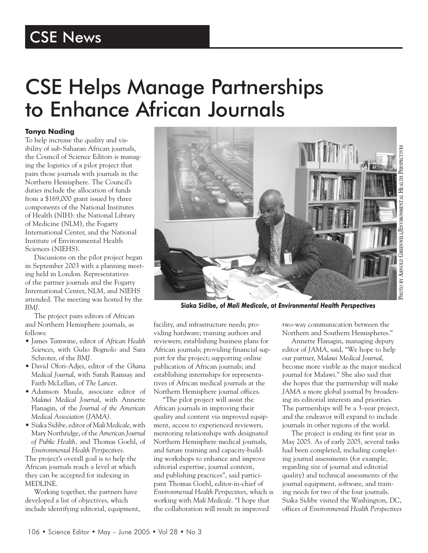## CSE Helps Manage Partnerships to Enhance African Journals

## **Tanya Nading**

To help increase the quality and visibility of sub-Saharan African journals, the Council of Science Editors is managing the logistics of a pilot project that pairs those journals with journals in the Northern Hemisphere. The Council's duties include the allocation of funds from a \$169,000 grant issued by three components of the National Institutes of Health (NIH): the National Library of Medicine (NLM), the Fogarty International Center, and the National Institute of Environmental Health Sciences (NIEHS).

Discussions on the pilot project began in September 2003 with a planning meeting held in London. Representatives of the partner journals and the Fogarty International Center, NLM, and NIEHS attended. The meeting was hosted by the *BMJ*.

The project pairs editors of African and Northern Hemisphere journals, as follows:

- James Tumwine, editor of *African Health Sciences*, with Gulio Bognolo and Sara Schroter, of the *BMJ.*
- David Ofori-Adjei, editor of the *Ghana Medical Journal*, with Sarah Ramsay and Faith McLellan, of *The Lancet*.
- Adamson Muula, associate editor of *Malawi Medical Journal*, with Annette Flanagin, of the *Journal of the American Medical Association (JAMA)*.
- Siaka Sidibe, editor of *Mali Medicale*, with Mary Northridge, of the *American Journal of Public Health,* and Thomas Goehl, of *Environmental Health Perspectives*.

The project's overall goal is to help the African journals reach a level at which they can be accepted for indexing in MEDLINE.

Working together, the partners have developed a list of objectives, which include identifying editorial, equipment,



**Siaka Sidibe, of** *Mali Medicale***, at** *Environmental Health Perspectives*

facility, and infrastructure needs; providing hardware; training authors and reviewers; establishing business plans for African journals; providing financial support for the project; supporting online publication of African journals; and establishing internships for representatives of African medical journals at the Northern Hemisphere journal offices.

"The pilot project will assist the African journals in improving their quality and content via improved equipment, access to experienced reviewers, mentoring relationships with designated Northern Hemisphere medical journals, and future training and capacity-building workshops to enhance and improve editorial expertise, journal content, and publishing practices", said participant Thomas Goehl, editor-in-chief of *Environmental Health Perspectives*, which is working with *Mali Medicale*. "I hope that the collaboration will result in improved

two-way communication between the Northern and Southern Hemispheres."

Annette Flanagin, managing deputy editor of *JAMA*, said, "We hope to help our partner, *Malawi Medical Journal*, become more visible as the major medical journal for Malawi." She also said that she hopes that the partnership will make *JAMA* a more global journal by broadening its editorial interests and priorities. The partnerships will be a 3-year project, and the endeavor will expand to include journals in other regions of the world.

The project is ending its first year in May 2005. As of early 2005, several tasks had been completed, including completing journal assessments (for example, regarding size of journal and editorial quality) and technical assessments of the journal equipment, software, and training needs for two of the four journals. Siaka Sidibe visited the Washington, DC, offices of *Environmental Health Perspectives*